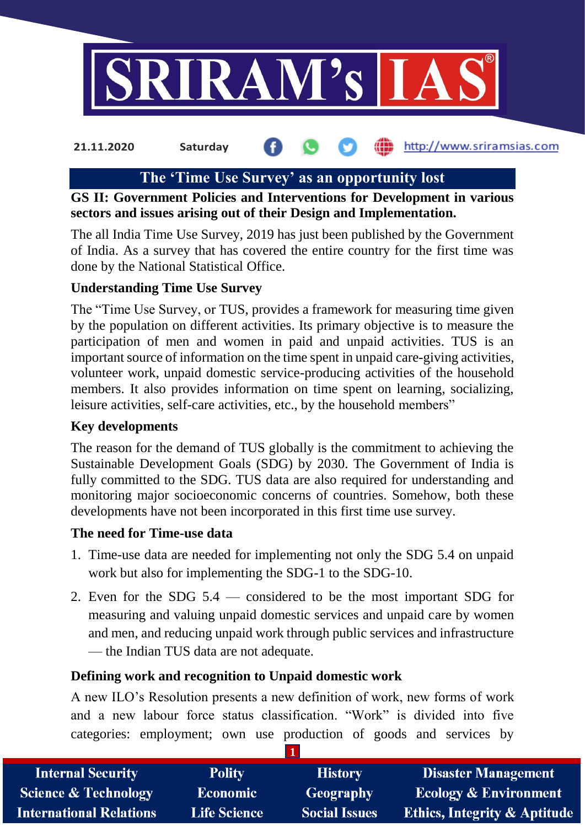

# **The 'Time Use Survey' as an opportunity lost**

#### **GS II: Government Policies and Interventions for Development in various sectors and issues arising out of their Design and Implementation.**

The all India Time Use Survey, 2019 has just been published by the Government of India. As a survey that has covered the entire country for the first time was done by the National Statistical Office.

### **Understanding Time Use Survey**

The "Time Use Survey, or TUS, provides a framework for measuring time given by the population on different activities. Its primary objective is to measure the participation of men and women in paid and unpaid activities. TUS is an important source of information on the time spent in unpaid care-giving activities, volunteer work, unpaid domestic service-producing activities of the household members. It also provides information on time spent on learning, socializing, leisure activities, self-care activities, etc., by the household members"

#### **Key developments**

The reason for the demand of TUS globally is the commitment to achieving the Sustainable Development Goals (SDG) by 2030. The Government of India is fully committed to the SDG. TUS data are also required for understanding and monitoring major socioeconomic concerns of countries. Somehow, both these developments have not been incorporated in this first time use survey.

#### **The need for Time-use data**

- 1. Time-use data are needed for implementing not only the SDG 5.4 on unpaid work but also for implementing the SDG-1 to the SDG-10.
- 2. Even for the SDG 5.4 considered to be the most important SDG for measuring and valuing unpaid domestic services and unpaid care by women and men, and reducing unpaid work through public services and infrastructure — the Indian TUS data are not adequate.

#### **Defining work and recognition to Unpaid domestic work**

A new ILO's Resolution presents a new definition of work, new forms of work and a new labour force status classification. "Work" is divided into five categories: employment; own use production of goods and services by

| <b>Internal Security</b>        | <b>Polity</b>       | <b>History</b>       | <b>Disaster Management</b>              |
|---------------------------------|---------------------|----------------------|-----------------------------------------|
| <b>Science &amp; Technology</b> | <b>Economic</b>     | <b>Geography</b>     | <b>Ecology &amp; Environment</b>        |
| <b>International Relations</b>  | <b>Life Science</b> | <b>Social Issues</b> | <b>Ethics, Integrity &amp; Aptitude</b> |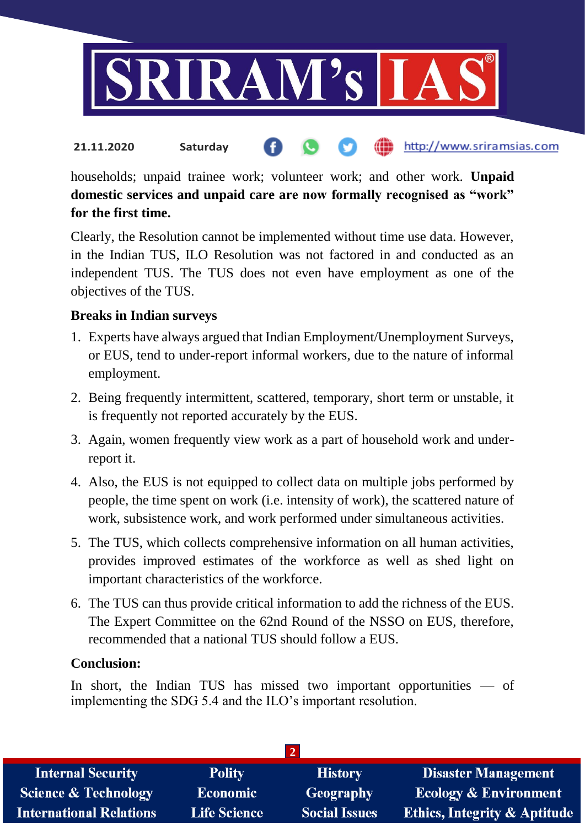

households; unpaid trainee work; volunteer work; and other work. **Unpaid domestic services and unpaid care are now formally recognised as "work" for the first time.**

Clearly, the Resolution cannot be implemented without time use data. However, in the Indian TUS, ILO Resolution was not factored in and conducted as an independent TUS. The TUS does not even have employment as one of the objectives of the TUS.

#### **Breaks in Indian surveys**

- 1. Experts have always argued that Indian Employment/Unemployment Surveys, or EUS, tend to under-report informal workers, due to the nature of informal employment.
- 2. Being frequently intermittent, scattered, temporary, short term or unstable, it is frequently not reported accurately by the EUS.
- 3. Again, women frequently view work as a part of household work and underreport it.
- 4. Also, the EUS is not equipped to collect data on multiple jobs performed by people, the time spent on work (i.e. intensity of work), the scattered nature of work, subsistence work, and work performed under simultaneous activities.
- 5. The TUS, which collects comprehensive information on all human activities, provides improved estimates of the workforce as well as shed light on important characteristics of the workforce.
- 6. The TUS can thus provide critical information to add the richness of the EUS. The Expert Committee on the 62nd Round of the NSSO on EUS, therefore, recommended that a national TUS should follow a EUS.

#### **Conclusion:**

In short, the Indian TUS has missed two important opportunities — of implementing the SDG 5.4 and the ILO's important resolution.

| <b>Polity</b>       | <b>History</b>       | <b>Disaster Management</b>              |  |
|---------------------|----------------------|-----------------------------------------|--|
| <b>Economic</b>     | Geography            | <b>Ecology &amp; Environment</b>        |  |
| <b>Life Science</b> | <b>Social Issues</b> | <b>Ethics, Integrity &amp; Aptitude</b> |  |
|                     |                      |                                         |  |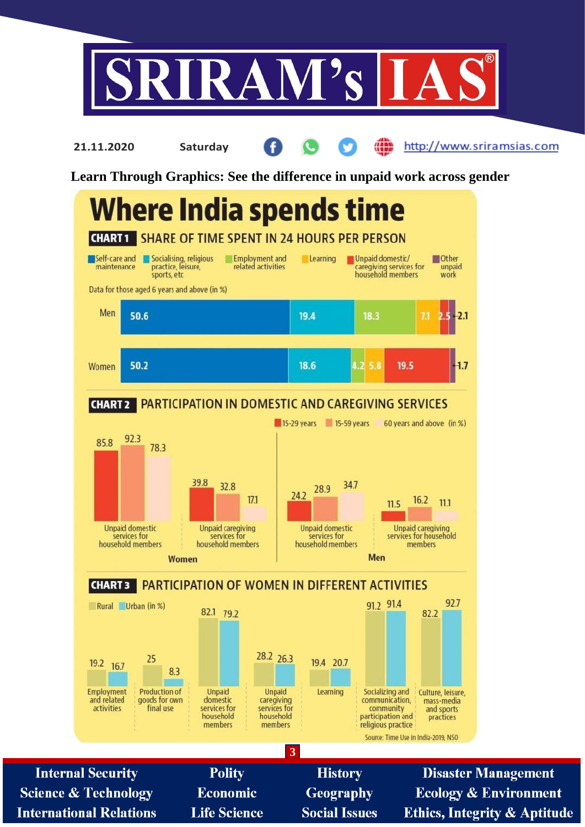

http://www.sriramsias.com

**Learn Through Graphics: See the difference in unpaid work across gender**

**21.11.2020 Saturday**

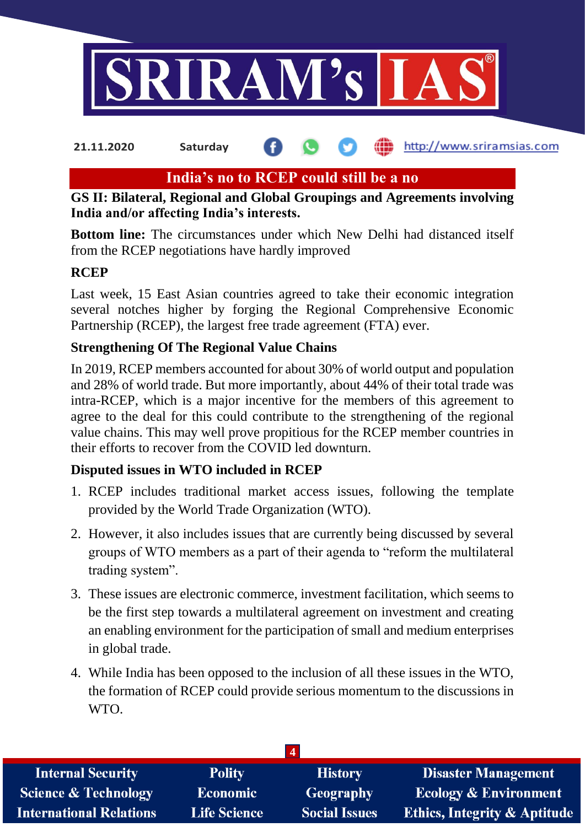

## **India's no to RCEP could still be a no**

### **GS II: Bilateral, Regional and Global Groupings and Agreements involving India and/or affecting India's interests.**

**Bottom line:** The circumstances under which New Delhi had distanced itself from the RCEP negotiations have hardly improved

#### **RCEP**

Last week, 15 East Asian countries agreed to take their economic integration several notches higher by forging the Regional Comprehensive Economic Partnership (RCEP), the largest free trade agreement (FTA) ever.

### **Strengthening Of The Regional Value Chains**

In 2019, RCEP members accounted for about 30% of world output and population and 28% of world trade. But more importantly, about 44% of their total trade was intra-RCEP, which is a major incentive for the members of this agreement to agree to the deal for this could contribute to the strengthening of the regional value chains. This may well prove propitious for the RCEP member countries in their efforts to recover from the COVID led downturn.

## **Disputed issues in WTO included in RCEP**

- 1. RCEP includes traditional market access issues, following the template provided by the World Trade Organization (WTO).
- 2. However, it also includes issues that are currently being discussed by several groups of WTO members as a part of their agenda to "reform the multilateral trading system".
- 3. These issues are electronic commerce, investment facilitation, which seems to be the first step towards a multilateral agreement on investment and creating an enabling environment for the participation of small and medium enterprises in global trade.
- 4. While India has been opposed to the inclusion of all these issues in the WTO, the formation of RCEP could provide serious momentum to the discussions in WTO.

| $\overline{4}$                  |                     |                      |                                         |
|---------------------------------|---------------------|----------------------|-----------------------------------------|
| <b>Internal Security</b>        | <b>Polity</b>       | <b>History</b>       | <b>Disaster Management</b>              |
| <b>Science &amp; Technology</b> | Economic            | Geography            | <b>Ecology &amp; Environment</b>        |
| <b>International Relations</b>  | <b>Life Science</b> | <b>Social Issues</b> | <b>Ethics, Integrity &amp; Aptitude</b> |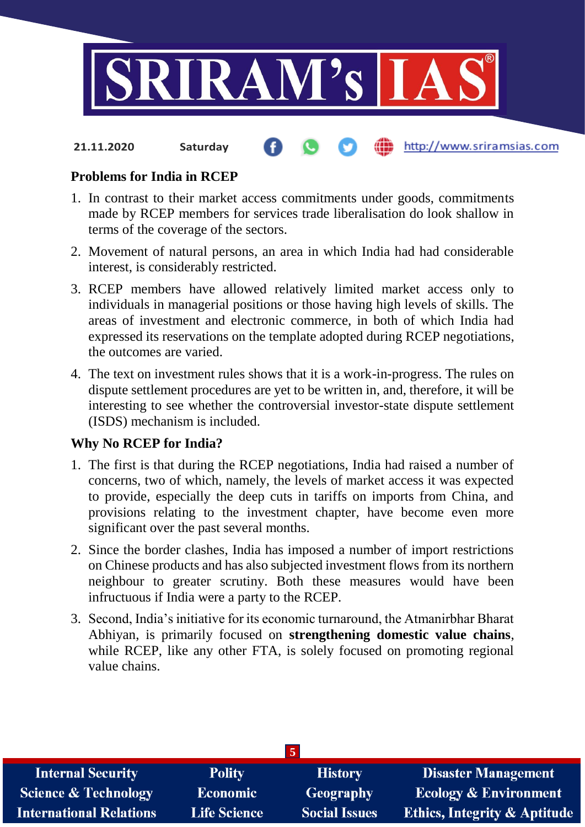

#### **Problems for India in RCEP**

- 1. In contrast to their market access commitments under goods, commitments made by RCEP members for services trade liberalisation do look shallow in terms of the coverage of the sectors.
- 2. Movement of natural persons, an area in which India had had considerable interest, is considerably restricted.
- 3. RCEP members have allowed relatively limited market access only to individuals in managerial positions or those having high levels of skills. The areas of investment and electronic commerce, in both of which India had expressed its reservations on the template adopted during RCEP negotiations, the outcomes are varied.
- 4. The text on investment rules shows that it is a work-in-progress. The rules on dispute settlement procedures are yet to be written in, and, therefore, it will be interesting to see whether the controversial investor-state dispute settlement (ISDS) mechanism is included.

#### **Why No RCEP for India?**

- 1. The first is that during the RCEP negotiations, India had raised a number of concerns, two of which, namely, the levels of market access it was expected to provide, especially the deep cuts in tariffs on imports from China, and provisions relating to the investment chapter, have become even more significant over the past several months.
- 2. Since the border clashes, India has imposed a number of import restrictions on Chinese products and has also subjected investment flows from its northern neighbour to greater scrutiny. Both these measures would have been infructuous if India were a party to the RCEP.
- 3. Second, India's initiative for its economic turnaround, the Atmanirbhar Bharat Abhiyan, is primarily focused on **strengthening domestic value chains**, while RCEP, like any other FTA, is solely focused on promoting regional value chains.

| $\sqrt{5}$                      |                     |                      |                                         |
|---------------------------------|---------------------|----------------------|-----------------------------------------|
| <b>Internal Security</b>        | <b>Polity</b>       | <b>History</b>       | <b>Disaster Management</b>              |
| <b>Science &amp; Technology</b> | <b>Economic</b>     | Geography            | <b>Ecology &amp; Environment</b>        |
| <b>International Relations</b>  | <b>Life Science</b> | <b>Social Issues</b> | <b>Ethics, Integrity &amp; Aptitude</b> |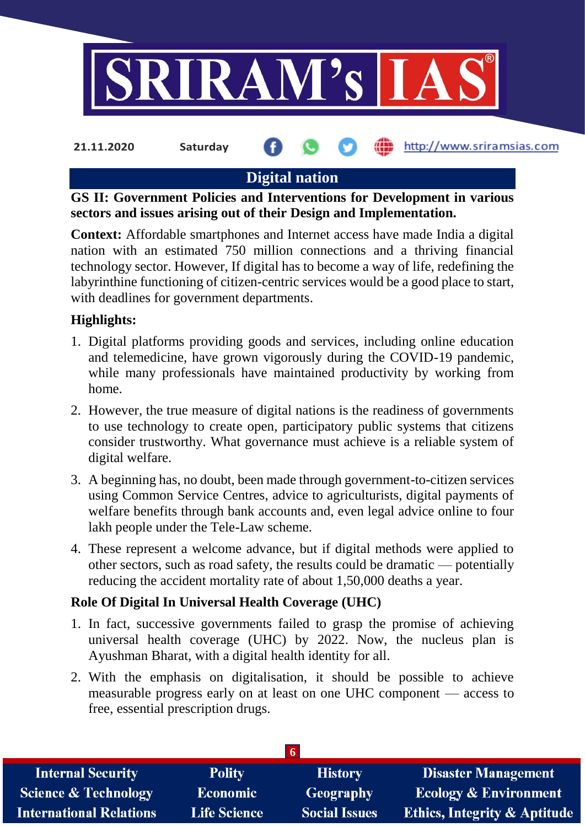

## **Digital nation**

**GS II: Government Policies and Interventions for Development in various sectors and issues arising out of their Design and Implementation.**

**Context:** Affordable smartphones and Internet access have made India a digital nation with an estimated 750 million connections and a thriving financial technology sector. However, If digital has to become a way of life, redefining the labyrinthine functioning of citizen-centric services would be a good place to start, with deadlines for government departments.

### **Highlights:**

- 1. Digital platforms providing goods and services, including online education and telemedicine, have grown vigorously during the COVID-19 pandemic, while many professionals have maintained productivity by working from home.
- 2. However, the true measure of digital nations is the readiness of governments to use technology to create open, participatory public systems that citizens consider trustworthy. What governance must achieve is a reliable system of digital welfare.
- 3. A beginning has, no doubt, been made through government-to-citizen services using Common Service Centres, advice to agriculturists, digital payments of welfare benefits through bank accounts and, even legal advice online to four lakh people under the Tele-Law scheme.
- 4. These represent a welcome advance, but if digital methods were applied to other sectors, such as road safety, the results could be dramatic — potentially reducing the accident mortality rate of about 1,50,000 deaths a year.

## **Role Of Digital In Universal Health Coverage (UHC)**

- 1. In fact, successive governments failed to grasp the promise of achieving universal health coverage (UHC) by 2022. Now, the nucleus plan is Ayushman Bharat, with a digital health identity for all.
- 2. With the emphasis on digitalisation, it should be possible to achieve measurable progress early on at least on one UHC component — access to free, essential prescription drugs.

| <b>Internal Security</b>        | <b>Polity</b>       | <b>History</b>       | <b>Disaster Management</b>              |
|---------------------------------|---------------------|----------------------|-----------------------------------------|
| <b>Science &amp; Technology</b> | Economic            | <b>Geography</b>     | <b>Ecology &amp; Environment</b>        |
| <b>International Relations</b>  | <b>Life Science</b> | <b>Social Issues</b> | <b>Ethics, Integrity &amp; Aptitude</b> |